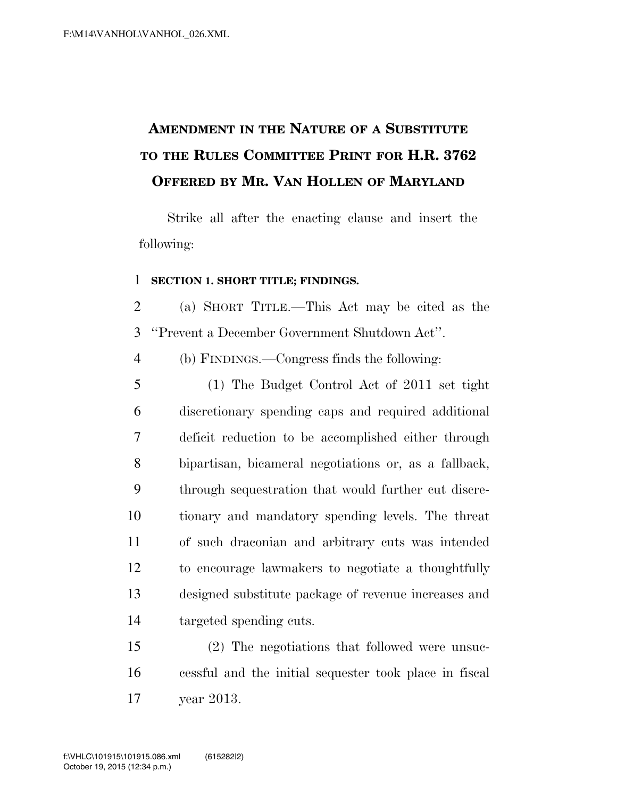## **AMENDMENT IN THE NATURE OF A SUBSTITUTE TO THE RULES COMMITTEE PRINT FOR H.R. 3762 OFFERED BY MR. VAN HOLLEN OF MARYLAND**

Strike all after the enacting clause and insert the following:

## **SECTION 1. SHORT TITLE; FINDINGS.**

 (a) SHORT TITLE.—This Act may be cited as the ''Prevent a December Government Shutdown Act''.

(b) FINDINGS.—Congress finds the following:

 (1) The Budget Control Act of 2011 set tight discretionary spending caps and required additional deficit reduction to be accomplished either through bipartisan, bicameral negotiations or, as a fallback, through sequestration that would further cut discre- tionary and mandatory spending levels. The threat of such draconian and arbitrary cuts was intended to encourage lawmakers to negotiate a thoughtfully designed substitute package of revenue increases and targeted spending cuts.

 (2) The negotiations that followed were unsuc- cessful and the initial sequester took place in fiscal year 2013.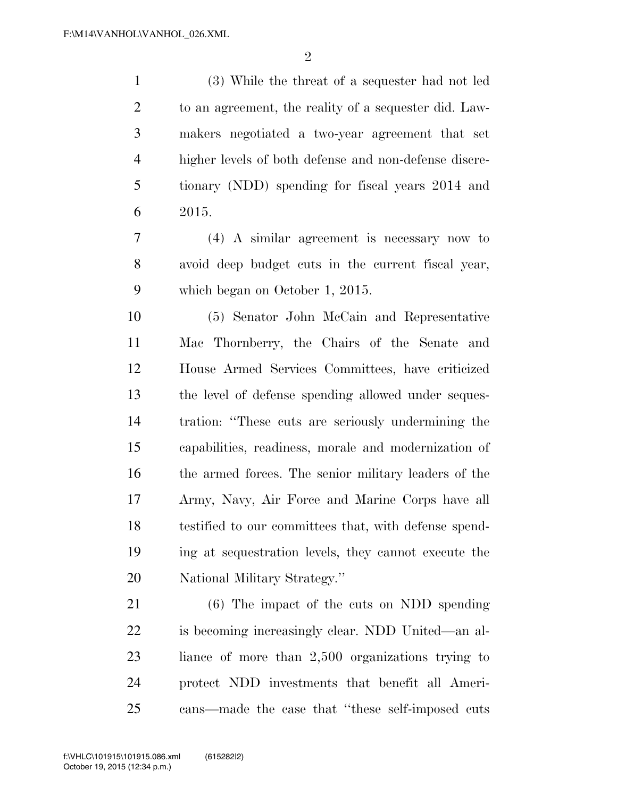$\mathfrak{D}$ 

 (3) While the threat of a sequester had not led to an agreement, the reality of a sequester did. Law- makers negotiated a two-year agreement that set higher levels of both defense and non-defense discre- tionary (NDD) spending for fiscal years 2014 and 2015.

 (4) A similar agreement is necessary now to avoid deep budget cuts in the current fiscal year, which began on October 1, 2015.

 (5) Senator John McCain and Representative Mac Thornberry, the Chairs of the Senate and House Armed Services Committees, have criticized the level of defense spending allowed under seques- tration: ''These cuts are seriously undermining the capabilities, readiness, morale and modernization of the armed forces. The senior military leaders of the Army, Navy, Air Force and Marine Corps have all testified to our committees that, with defense spend- ing at sequestration levels, they cannot execute the National Military Strategy.''

 (6) The impact of the cuts on NDD spending is becoming increasingly clear. NDD United—an al- liance of more than 2,500 organizations trying to protect NDD investments that benefit all Ameri-cans—made the case that ''these self-imposed cuts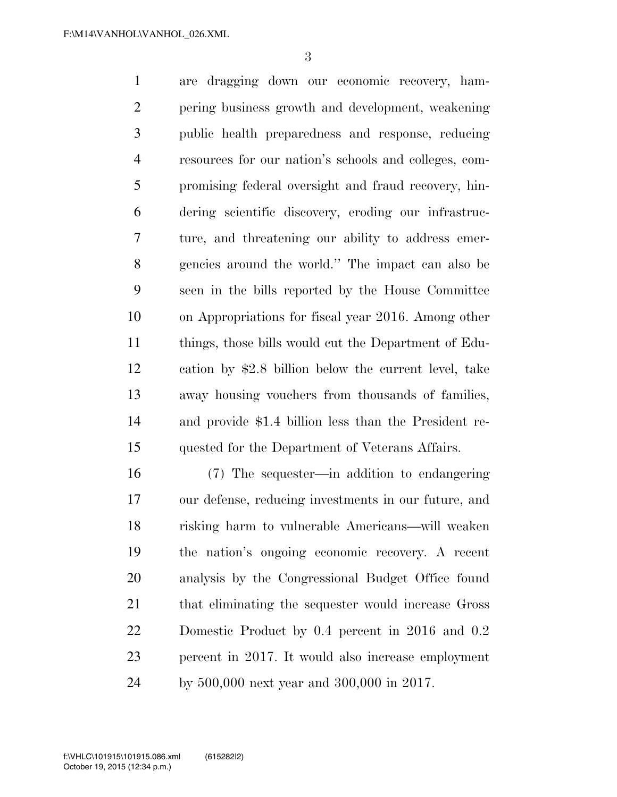are dragging down our economic recovery, ham- pering business growth and development, weakening public health preparedness and response, reducing resources for our nation's schools and colleges, com- promising federal oversight and fraud recovery, hin- dering scientific discovery, eroding our infrastruc- ture, and threatening our ability to address emer- gencies around the world.'' The impact can also be seen in the bills reported by the House Committee on Appropriations for fiscal year 2016. Among other things, those bills would cut the Department of Edu- cation by \$2.8 billion below the current level, take away housing vouchers from thousands of families, and provide \$1.4 billion less than the President re-quested for the Department of Veterans Affairs.

 (7) The sequester—in addition to endangering our defense, reducing investments in our future, and risking harm to vulnerable Americans—will weaken the nation's ongoing economic recovery. A recent analysis by the Congressional Budget Office found that eliminating the sequester would increase Gross Domestic Product by 0.4 percent in 2016 and 0.2 percent in 2017. It would also increase employment by 500,000 next year and 300,000 in 2017.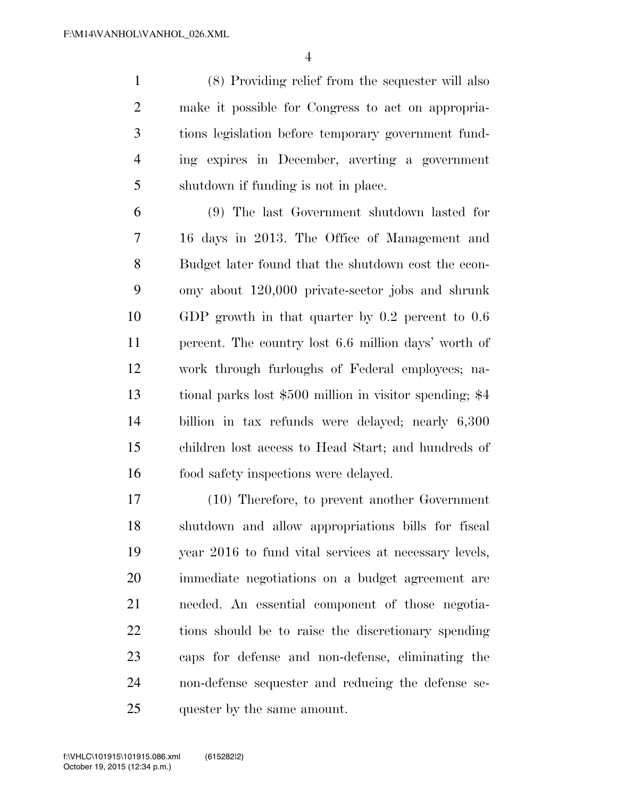(8) Providing relief from the sequester will also make it possible for Congress to act on appropria- tions legislation before temporary government fund- ing expires in December, averting a government shutdown if funding is not in place.

 (9) The last Government shutdown lasted for 16 days in 2013. The Office of Management and Budget later found that the shutdown cost the econ- omy about 120,000 private-sector jobs and shrunk GDP growth in that quarter by 0.2 percent to 0.6 percent. The country lost 6.6 million days' worth of work through furloughs of Federal employees; na- tional parks lost \$500 million in visitor spending; \$4 billion in tax refunds were delayed; nearly 6,300 children lost access to Head Start; and hundreds of food safety inspections were delayed.

 (10) Therefore, to prevent another Government shutdown and allow appropriations bills for fiscal year 2016 to fund vital services at necessary levels, immediate negotiations on a budget agreement are needed. An essential component of those negotia- tions should be to raise the discretionary spending caps for defense and non-defense, eliminating the non-defense sequester and reducing the defense se-quester by the same amount.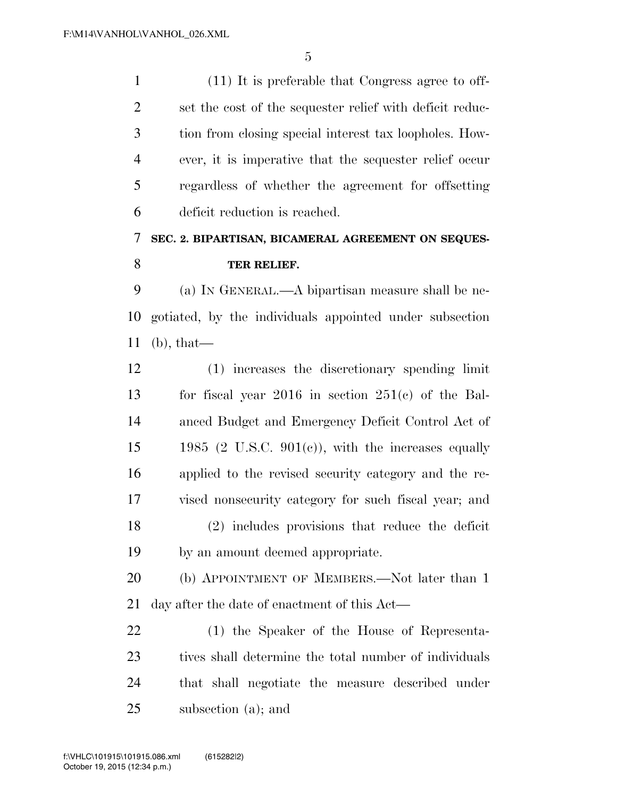(11) It is preferable that Congress agree to off- set the cost of the sequester relief with deficit reduc- tion from closing special interest tax loopholes. How- ever, it is imperative that the sequester relief occur regardless of whether the agreement for offsetting deficit reduction is reached.

## **SEC. 2. BIPARTISAN, BICAMERAL AGREEMENT ON SEQUES-TER RELIEF.**

 (a) IN GENERAL.—A bipartisan measure shall be ne- gotiated, by the individuals appointed under subsection (b), that—

 (1) increases the discretionary spending limit for fiscal year 2016 in section 251(c) of the Bal- anced Budget and Emergency Deficit Control Act of  $15 \qquad 1985 \text{ (2 U.S.C. 901(c)), with the increases equally}$  applied to the revised security category and the re- vised nonsecurity category for such fiscal year; and (2) includes provisions that reduce the deficit by an amount deemed appropriate.

20 (b) APPOINTMENT OF MEMBERS.—Not later than 1 day after the date of enactment of this Act—

 (1) the Speaker of the House of Representa-23 tives shall determine the total number of individuals that shall negotiate the measure described under subsection (a); and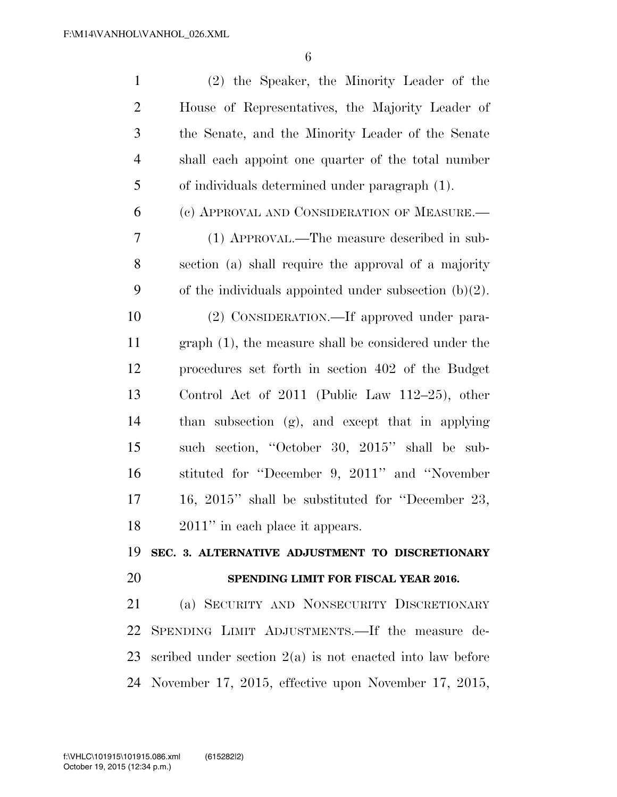| $\mathbf{1}$   | (2) the Speaker, the Minority Leader of the                    |
|----------------|----------------------------------------------------------------|
| $\overline{2}$ | House of Representatives, the Majority Leader of               |
| 3              | the Senate, and the Minority Leader of the Senate              |
| $\overline{4}$ | shall each appoint one quarter of the total number             |
| 5              | of individuals determined under paragraph (1).                 |
| 6              | (c) APPROVAL AND CONSIDERATION OF MEASURE.                     |
| 7              | (1) APPROVAL.—The measure described in sub-                    |
| 8              | section (a) shall require the approval of a majority           |
| 9              | of the individuals appointed under subsection $(b)(2)$ .       |
| 10             | (2) CONSIDERATION.—If approved under para-                     |
| 11             | graph (1), the measure shall be considered under the           |
| 12             | procedures set forth in section 402 of the Budget              |
| 13             | Control Act of $2011$ (Public Law $112-25$ ), other            |
| 14             | than subsection (g), and except that in applying               |
| 15             | such section, "October 30, 2015" shall be sub-                 |
| 16             | stituted for "December 9, 2011" and "November                  |
| 17             | 16, 2015" shall be substituted for "December 23,               |
| 18             | $2011$ " in each place it appears.                             |
| 19             | SEC. 3. ALTERNATIVE ADJUSTMENT TO DISCRETIONARY                |
| 20             | SPENDING LIMIT FOR FISCAL YEAR 2016.                           |
| 21             | (a) SECURITY AND NONSECURITY DISCRETIONARY                     |
| 22             | SPENDING LIMIT ADJUSTMENTS.—If the measure de-                 |
|                | 23 scribed under section $2(a)$ is not enacted into law before |
|                | 24 November 17, 2015, effective upon November 17, 2015,        |
|                |                                                                |